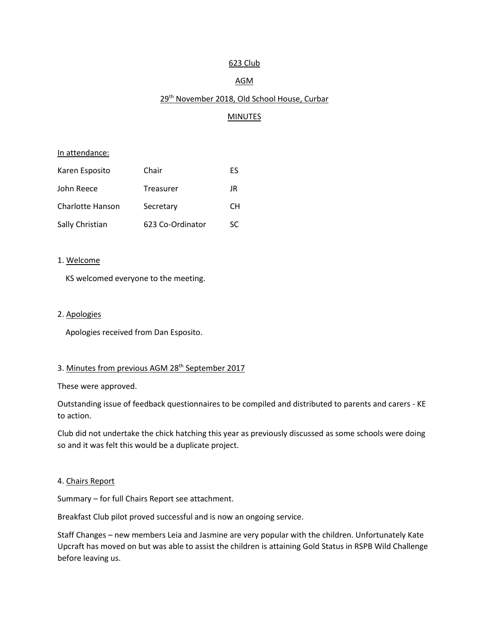### 623 Club

## AGM

# 29<sup>th</sup> November 2018, Old School House, Curbar

# **MINUTES**

#### In attendance:

| Karen Esposito   | Chair            | ES  |
|------------------|------------------|-----|
| John Reece       | Treasurer        | JR  |
| Charlotte Hanson | Secretary        | CН  |
| Sally Christian  | 623 Co-Ordinator | SC. |

### 1. Welcome

KS welcomed everyone to the meeting.

#### 2. Apologies

Apologies received from Dan Esposito.

# 3. Minutes from previous AGM 28<sup>th</sup> September 2017

These were approved.

Outstanding issue of feedback questionnaires to be compiled and distributed to parents and carers - KE to action.

Club did not undertake the chick hatching this year as previously discussed as some schools were doing so and it was felt this would be a duplicate project.

#### 4. Chairs Report

Summary – for full Chairs Report see attachment.

Breakfast Club pilot proved successful and is now an ongoing service.

Staff Changes – new members Leia and Jasmine are very popular with the children. Unfortunately Kate Upcraft has moved on but was able to assist the children is attaining Gold Status in RSPB Wild Challenge before leaving us.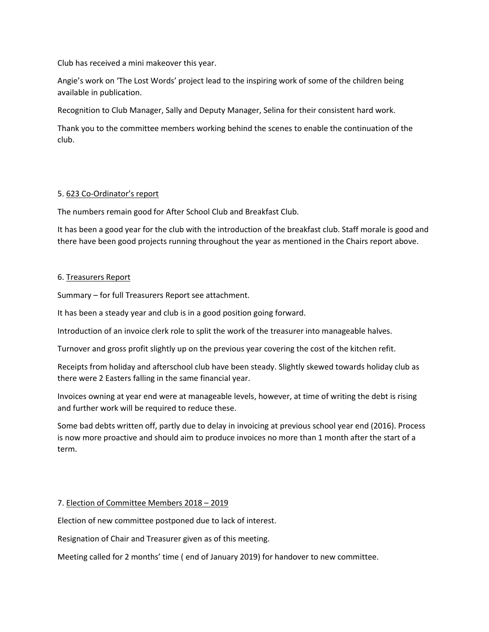Club has received a mini makeover this year.

Angie's work on 'The Lost Words' project lead to the inspiring work of some of the children being available in publication.

Recognition to Club Manager, Sally and Deputy Manager, Selina for their consistent hard work.

Thank you to the committee members working behind the scenes to enable the continuation of the club.

## 5. 623 Co-Ordinator's report

The numbers remain good for After School Club and Breakfast Club.

It has been a good year for the club with the introduction of the breakfast club. Staff morale is good and there have been good projects running throughout the year as mentioned in the Chairs report above.

## 6. Treasurers Report

Summary – for full Treasurers Report see attachment.

It has been a steady year and club is in a good position going forward.

Introduction of an invoice clerk role to split the work of the treasurer into manageable halves.

Turnover and gross profit slightly up on the previous year covering the cost of the kitchen refit.

Receipts from holiday and afterschool club have been steady. Slightly skewed towards holiday club as there were 2 Easters falling in the same financial year.

Invoices owning at year end were at manageable levels, however, at time of writing the debt is rising and further work will be required to reduce these.

Some bad debts written off, partly due to delay in invoicing at previous school year end (2016). Process is now more proactive and should aim to produce invoices no more than 1 month after the start of a term.

# 7. Election of Committee Members 2018 – 2019

Election of new committee postponed due to lack of interest.

Resignation of Chair and Treasurer given as of this meeting.

Meeting called for 2 months' time ( end of January 2019) for handover to new committee.